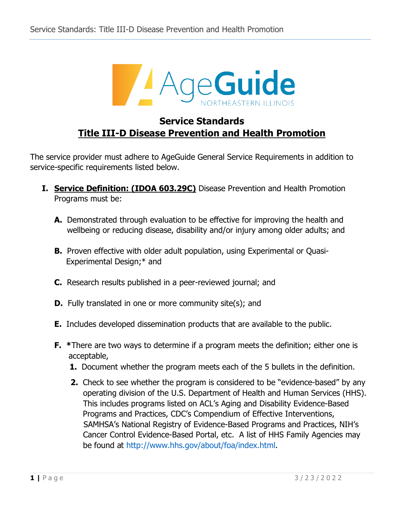

# **Service Standards Title III-D Disease Prevention and Health Promotion**

The service provider must adhere to AgeGuide General Service Requirements in addition to service-specific requirements listed below.

- **I. Service Definition: (IDOA 603.29C)** Disease Prevention and Health Promotion Programs must be:
	- **A.** Demonstrated through evaluation to be effective for improving the health and wellbeing or reducing disease, disability and/or injury among older adults; and
	- **B.** Proven effective with older adult population, using Experimental or Quasi-Experimental Design;\* and
	- **C.** Research results published in a peer-reviewed journal; and
	- **D.** Fully translated in one or more community site(s); and
	- **E.** Includes developed dissemination products that are available to the public.
	- **F. \***There are two ways to determine if a program meets the definition; either one is acceptable,
		- **1.** Document whether the program meets each of the 5 bullets in the definition.
		- **2.** Check to see whether the program is considered to be "evidence-based" by any operating division of the U.S. Department of Health and Human Services (HHS). This includes programs listed on ACL's Aging and Disability Evidence-Based Programs and Practices, CDC's Compendium of Effective Interventions, SAMHSA's National Registry of Evidence-Based Programs and Practices, NIH's Cancer Control Evidence-Based Portal, etc. A list of HHS Family Agencies may be found at [http://www.hhs.gov/about/foa/index.html.](http://www.hhs.gov/about/foa/index.html)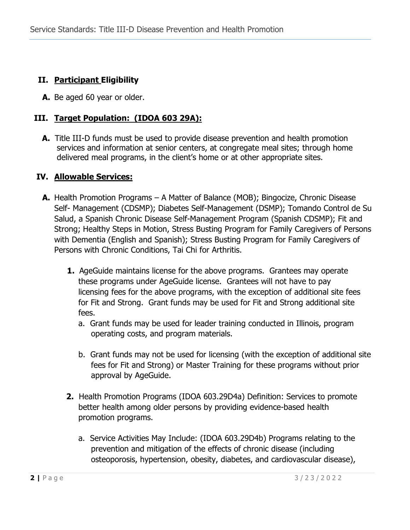# **II. Participant Eligibility**

**A.** Be aged 60 year or older.

## **III. Target Population: (IDOA 603 29A):**

 **A.** Title III-D funds must be used to provide disease prevention and health promotion services and information at senior centers, at congregate meal sites; through home delivered meal programs, in the client's home or at other appropriate sites.

### **IV. Allowable Services:**

- **A.** Health Promotion Programs A Matter of Balance (MOB); Bingocize, Chronic Disease Self- Management (CDSMP); Diabetes Self-Management (DSMP); Tomando Control de Su Salud, a Spanish Chronic Disease Self-Management Program (Spanish CDSMP); Fit and Strong; Healthy Steps in Motion, Stress Busting Program for Family Caregivers of Persons with Dementia (English and Spanish); Stress Busting Program for Family Caregivers of Persons with Chronic Conditions, Tai Chi for Arthritis.
	- **1.** AgeGuide maintains license for the above programs. Grantees may operate these programs under AgeGuide license. Grantees will not have to pay licensing fees for the above programs, with the exception of additional site fees for Fit and Strong. Grant funds may be used for Fit and Strong additional site fees.
		- a. Grant funds may be used for leader training conducted in Illinois, program operating costs, and program materials.
		- b. Grant funds may not be used for licensing (with the exception of additional site fees for Fit and Strong) or Master Training for these programs without prior approval by AgeGuide.
	- **2.** Health Promotion Programs (IDOA 603.29D4a) Definition: Services to promote better health among older persons by providing evidence-based health promotion programs.
		- a. Service Activities May Include: (IDOA 603.29D4b) Programs relating to the prevention and mitigation of the effects of chronic disease (including osteoporosis, hypertension, obesity, diabetes, and cardiovascular disease),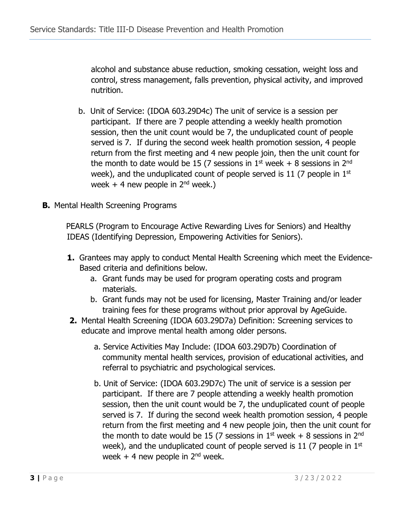alcohol and substance abuse reduction, smoking cessation, weight loss and control, stress management, falls prevention, physical activity, and improved nutrition.

- b. Unit of Service: (IDOA 603.29D4c) The unit of service is a session per participant. If there are 7 people attending a weekly health promotion session, then the unit count would be 7, the unduplicated count of people served is 7. If during the second week health promotion session, 4 people return from the first meeting and 4 new people join, then the unit count for the month to date would be 15 (7 sessions in  $1<sup>st</sup>$  week + 8 sessions in  $2<sup>nd</sup>$ week), and the unduplicated count of people served is 11 (7 people in  $1<sup>st</sup>$ week  $+$  4 new people in 2<sup>nd</sup> week.)
- **B.** Mental Health Screening Programs

PEARLS (Program to Encourage Active Rewarding Lives for Seniors) and Healthy IDEAS (Identifying Depression, Empowering Activities for Seniors).

- **1.** Grantees may apply to conduct Mental Health Screening which meet the Evidence- Based criteria and definitions below.
	- a. Grant funds may be used for program operating costs and program materials.
	- b. Grant funds may not be used for licensing, Master Training and/or leader training fees for these programs without prior approval by AgeGuide.
- **2.** Mental Health Screening (IDOA 603.29D7a) Definition: Screening services to educate and improve mental health among older persons.
	- a. Service Activities May Include: (IDOA 603.29D7b) Coordination of community mental health services, provision of educational activities, and referral to psychiatric and psychological services.
	- b. Unit of Service: (IDOA 603.29D7c) The unit of service is a session per participant. If there are 7 people attending a weekly health promotion session, then the unit count would be 7, the unduplicated count of people served is 7. If during the second week health promotion session, 4 people return from the first meeting and 4 new people join, then the unit count for the month to date would be 15 (7 sessions in  $1<sup>st</sup>$  week + 8 sessions in  $2<sup>nd</sup>$ week), and the unduplicated count of people served is 11 (7 people in  $1<sup>st</sup>$ week  $+$  4 new people in  $2<sup>nd</sup>$  week.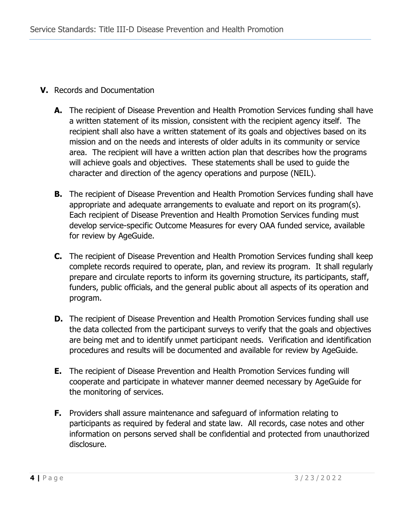#### **V.** Records and Documentation

- **A.** The recipient of Disease Prevention and Health Promotion Services funding shall have a written statement of its mission, consistent with the recipient agency itself. The recipient shall also have a written statement of its goals and objectives based on its mission and on the needs and interests of older adults in its community or service area. The recipient will have a written action plan that describes how the programs will achieve goals and objectives. These statements shall be used to guide the character and direction of the agency operations and purpose (NEIL).
- **B.** The recipient of Disease Prevention and Health Promotion Services funding shall have appropriate and adequate arrangements to evaluate and report on its program(s). Each recipient of Disease Prevention and Health Promotion Services funding must develop service-specific Outcome Measures for every OAA funded service, available for review by AgeGuide.
- **C.** The recipient of Disease Prevention and Health Promotion Services funding shall keep complete records required to operate, plan, and review its program. It shall regularly prepare and circulate reports to inform its governing structure, its participants, staff, funders, public officials, and the general public about all aspects of its operation and program.
- **D.** The recipient of Disease Prevention and Health Promotion Services funding shall use the data collected from the participant surveys to verify that the goals and objectives are being met and to identify unmet participant needs. Verification and identification procedures and results will be documented and available for review by AgeGuide.
- **E.** The recipient of Disease Prevention and Health Promotion Services funding will cooperate and participate in whatever manner deemed necessary by AgeGuide for the monitoring of services.
- **F.** Providers shall assure maintenance and safeguard of information relating to participants as required by federal and state law. All records, case notes and other information on persons served shall be confidential and protected from unauthorized disclosure.